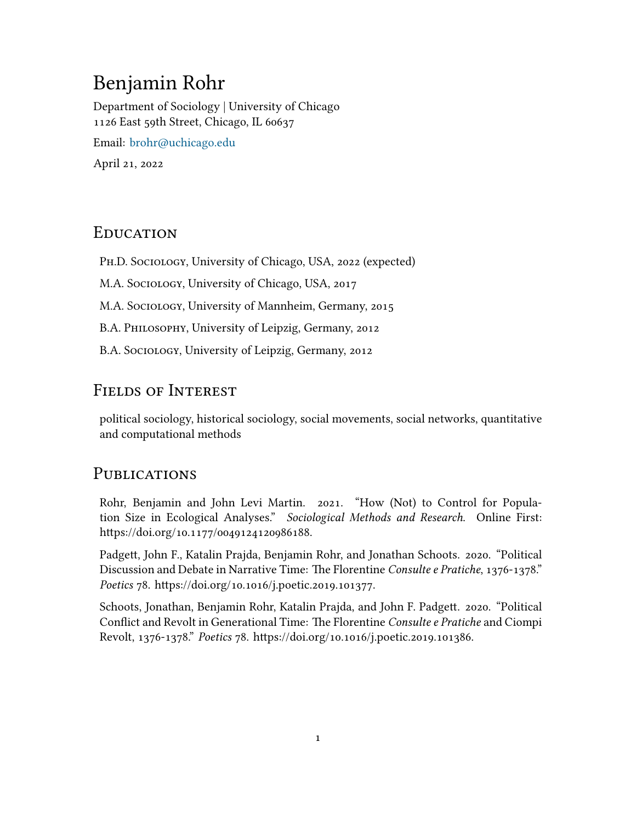# Benjamin Rohr

Department of Sociology | University of Chicago 1126 East 59th Street, Chicago, IL 60637 Email: [brohr@uchicago.edu](mailto: brohr@uchicago.edu) April 21, 2022

### **EDUCATION**

Ph.D. Sociology, University of Chicago, USA, 2022 (expected)

M.A. Sociology, University of Chicago, USA, 2017

M.A. Sociology, University of Mannheim, Germany, 2015

B.A. Philosophy, University of Leipzig, Germany, 2012

B.A. Sociology, University of Leipzig, Germany, 2012

## FIELDS OF INTEREST

political sociology, historical sociology, social movements, social networks, quantitative and computational methods

### PUBLICATIONS

Rohr, Benjamin and John Levi Martin. 2021. "How (Not) to Control for Population Size in Ecological Analyses." *Sociological Methods and Research*. Online First: https://doi.org/10.1177/0049124120986188.

Padgett, John F., Katalin Prajda, Benjamin Rohr, and Jonathan Schoots. 2020. "Political Discussion and Debate in Narrative Time: The Florentine *Consulte e Pratiche*, 1376-1378." *Poetics* 78. https://doi.org/10.1016/j.poetic.2019.101377.

Schoots, Jonathan, Benjamin Rohr, Katalin Prajda, and John F. Padgett. 2020. "Political Conflict and Revolt in Generational Time: The Florentine *Consulte e Pratiche* and Ciompi Revolt, 1376-1378." *Poetics* 78. https://doi.org/10.1016/j.poetic.2019.101386.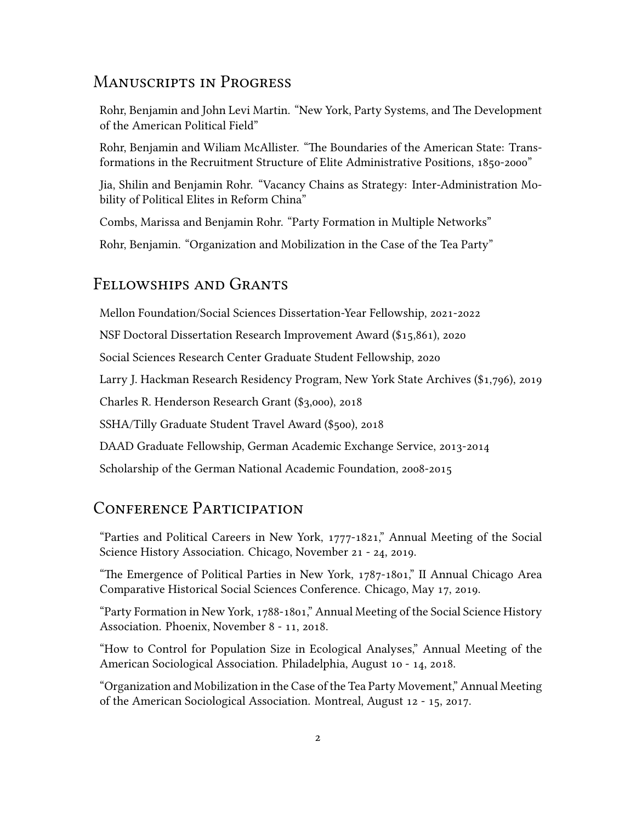# ManuscRipts in PRogRess

Rohr, Benjamin and John Levi Martin. "New York, Party Systems, and The Development of the American Political Field"

Rohr, Benjamin and Wiliam McAllister. "The Boundaries of the American State: Transformations in the Recruitment Structure of Elite Administrative Positions, 1850-2000"

Jia, Shilin and Benjamin Rohr. "Vacancy Chains as Strategy: Inter-Administration Mobility of Political Elites in Reform China"

Combs, Marissa and Benjamin Rohr. "Party Formation in Multiple Networks"

Rohr, Benjamin. "Organization and Mobilization in the Case of the Tea Party"

#### Fellowships and GRants

Mellon Foundation/Social Sciences Dissertation-Year Fellowship, 2021-2022

NSF Doctoral Dissertation Research Improvement Award (\$15,861), 2020

Social Sciences Research Center Graduate Student Fellowship, 2020

Larry J. Hackman Research Residency Program, New York State Archives (\$1,796), 2019

Charles R. Henderson Research Grant (\$3,000), 2018

SSHA/Tilly Graduate Student Travel Award (\$500), 2018

DAAD Graduate Fellowship, German Academic Exchange Service, 2013-2014

Scholarship of the German National Academic Foundation, 2008-2015

#### CONFERENCE PARTICIPATION

"Parties and Political Careers in New York, 1777-1821," Annual Meeting of the Social Science History Association. Chicago, November 21 - 24, 2019.

"The Emergence of Political Parties in New York, 1787-1801," II Annual Chicago Area Comparative Historical Social Sciences Conference. Chicago, May 17, 2019.

"Party Formation in New York, 1788-1801," Annual Meeting of the Social Science History Association. Phoenix, November 8 - 11, 2018.

"How to Control for Population Size in Ecological Analyses," Annual Meeting of the American Sociological Association. Philadelphia, August 10 - 14, 2018.

"Organization and Mobilization in the Case of the Tea Party Movement," Annual Meeting of the American Sociological Association. Montreal, August 12 - 15, 2017.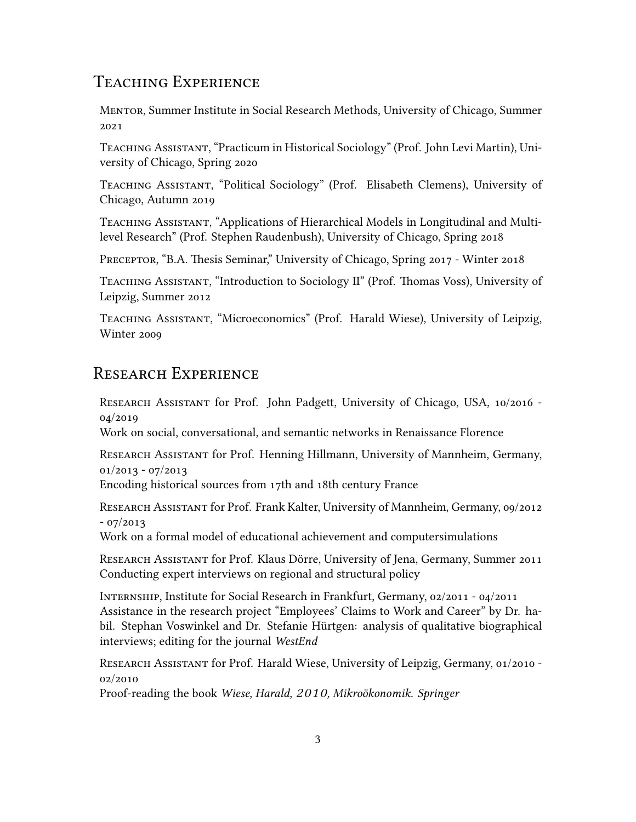### TEACHING EXPERIENCE

MentoR, Summer Institute in Social Research Methods, University of Chicago, Summer 2021

Teaching Assistant, "Practicum in Historical Sociology" (Prof. John Levi Martin), University of Chicago, Spring 2020

Teaching Assistant, "Political Sociology" (Prof. Elisabeth Clemens), University of Chicago, Autumn 2019

TEACHING ASSISTANT, "Applications of Hierarchical Models in Longitudinal and Multilevel Research" (Prof. Stephen Raudenbush), University of Chicago, Spring 2018

PRECEPTOR, "B.A. Thesis Seminar," University of Chicago, Spring 2017 - Winter 2018

Teaching Assistant, "Introduction to Sociology II" (Prof. Thomas Voss), University of Leipzig, Summer 2012

Teaching Assistant, "Microeconomics" (Prof. Harald Wiese), University of Leipzig, Winter 2009

# RESEARCH EXPERIENCE

ReseaRch Assistant for Prof. John Padgett, University of Chicago, USA, 10/2016 - 04/2019

Work on social, conversational, and semantic networks in Renaissance Florence

ReseaRch Assistant for Prof. Henning Hillmann, University of Mannheim, Germany, 01/2013 - 07/2013

Encoding historical sources from 17th and 18th century France

ReseaRch Assistant for Prof. Frank Kalter, University of Mannheim, Germany, 09/2012 - 07/2013

Work on a formal model of educational achievement and computersimulations

ReseaRch Assistant for Prof. Klaus Dörre, University of Jena, Germany, Summer 2011 Conducting expert interviews on regional and structural policy

InteRnship, Institute for Social Research in Frankfurt, Germany, 02/2011 - 04/2011 Assistance in the research project "Employees' Claims to Work and Career" by Dr. habil. Stephan Voswinkel and Dr. Stefanie Hürtgen: analysis of qualitative biographical interviews; editing for the journal *WestEnd*

ReseaRch Assistant for Prof. Harald Wiese, University of Leipzig, Germany, 01/2010 - 02/2010

Proof-reading the book *Wiese, Harald, 2010, Mikroökonomik. Springer*